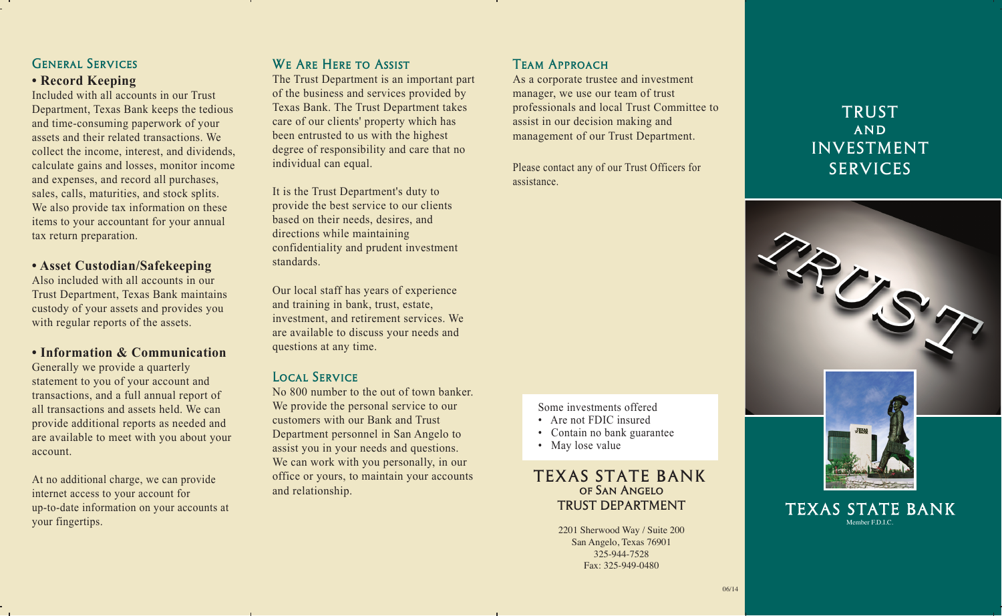# General Services

#### **• Record Keeping**

Included with all accounts in our Trust Department, Texas Bank keeps the tedious and time-consuming paperwork of your assets and their related transactions. We collect the income, interest, and dividends, calculate gains and losses, monitor income and expenses, and record all purchases, sales, calls, maturities, and stock splits. We also provide tax information on these items to your accountant for your annual tax return preparation.

#### **• Asset Custodian/Safekeeping**

Also included with all accounts in our Trust Department, Texas Bank maintains custody of your assets and provides you with regular reports of the assets.

**• Information & Communication** Generally we provide a quarterly statement to you of your account and transactions, and a full annual report of all transactions and assets held. We can provide additional reports as needed and are available to meet with you about your account.

At no additional charge, we can provide internet access to your account for up-to-date information on your accounts at your fingertips.

# WE ARE HERE TO ASSIST

The Trust Department is an important part of the business and services provided by Texas Bank. The Trust Department takes care of our clients' property which has been entrusted to us with the highest degree of responsibility and care that no individual can equal.

It is the Trust Department's duty to provide the best service to our clients based on their needs, desires, and directions while maintaining confidentiality and prudent investment standards.

Our local staff has years of experience and training in bank, trust, estate, investment, and retirement services. We are available to discuss your needs and questions at any time.

## Local Service

No 800 number to the out of town banker. We provide the personal service to our customers with our Bank and Trust Department personnel in San Angelo to assist you in your needs and questions. We can work with you personally, in our office or yours, to maintain your accounts and relationship.

# Team Approach

As a corporate trustee and investment manager, we use our team of trust professionals and local Trust Committee to assist in our decision making and management of our Trust Department.

Please contact any of our Trust Officers for assistance.

Some investments offered

- Are not FDIC insured
- Contain no bank guarantee
- May lose value

## TEXAS STATE BANK of San Angelo TRUST DEPARTMENT

2201 Sherwood Way / Suite 200 San Angelo, Texas 76901 325-944-7528 Fax: 325-949-0480